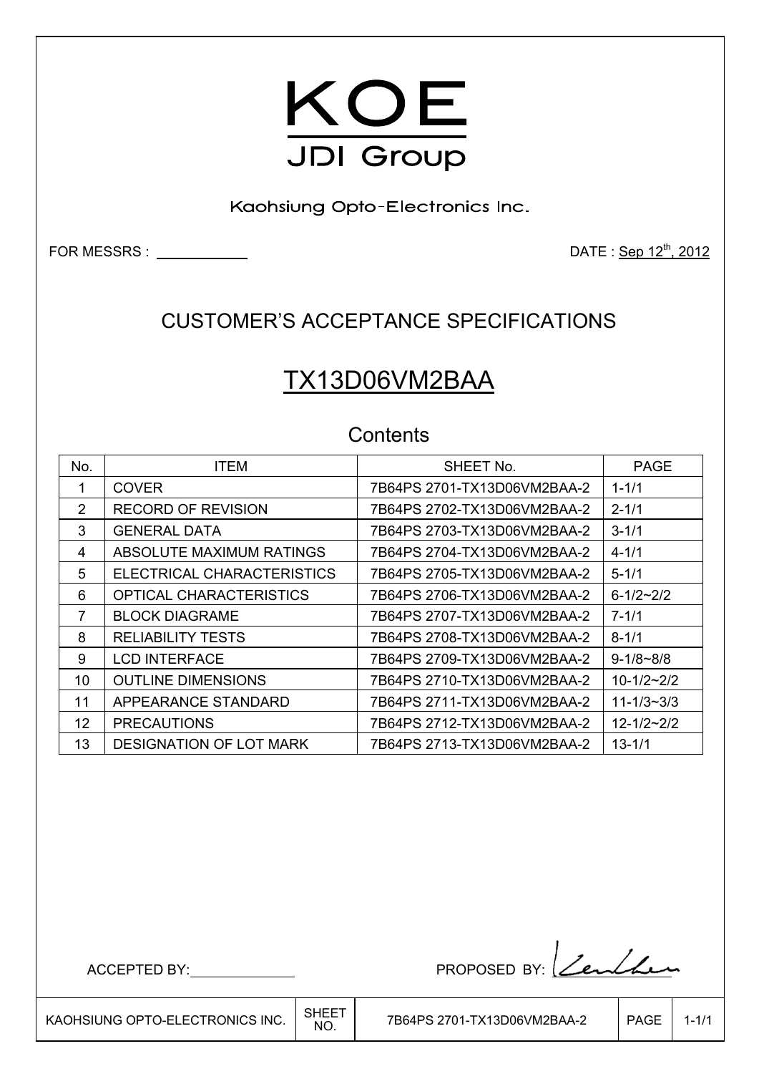

Kaohsiung Opto-Electronics Inc.

FOR MESSRS : DATE : Sep 12th, 2012

### CUSTOMER'S ACCEPTANCE SPECIFICATIONS

# TX13D06VM2BAA

### **Contents**

| No.           | <b>ITEM</b>                    | SHEET No.                   | <b>PAGE</b>      |
|---------------|--------------------------------|-----------------------------|------------------|
|               | <b>COVER</b>                   | 7B64PS 2701-TX13D06VM2BAA-2 | $1 - 1/1$        |
| $\mathcal{P}$ | <b>RECORD OF REVISION</b>      |                             | $2 - 1/1$        |
| 3             | <b>GENERAL DATA</b>            |                             | $3 - 1/1$        |
| 4             | ABSOLUTE MAXIMUM RATINGS       | 7B64PS 2704-TX13D06VM2BAA-2 | $4 - 1/1$        |
| 5             | ELECTRICAL CHARACTERISTICS     | 7B64PS 2705-TX13D06VM2BAA-2 | $5 - 1/1$        |
| 6             | <b>OPTICAL CHARACTERISTICS</b> | 7B64PS 2706-TX13D06VM2BAA-2 | $6 - 1/2 - 2/2$  |
| 7             | <b>BLOCK DIAGRAME</b>          |                             | $7 - 1/1$        |
| 8             | <b>RELIABILITY TESTS</b>       |                             | $8 - 1/1$        |
| 9             | <b>LCD INTERFACE</b>           | 7B64PS 2709-TX13D06VM2BAA-2 | $9 - 1/8 - 8/8$  |
| 10            | <b>OUTLINE DIMENSIONS</b>      | 7B64PS 2710-TX13D06VM2BAA-2 | $10-1/2-2/2$     |
| 11            | APPEARANCE STANDARD            | 7B64PS 2711-TX13D06VM2BAA-2 | $11 - 1/3 - 3/3$ |
| 12            | <b>PRECAUTIONS</b>             | 7B64PS 2712-TX13D06VM2BAA-2 | $12 - 1/2 - 2/2$ |
| 13            | <b>DESIGNATION OF LOT MARK</b> | 7B64PS 2713-TX13D06VM2BAA-2 | $13 - 1/1$       |

ACCEPTED BY: PROPOSED BY: <u>Lenlan</u>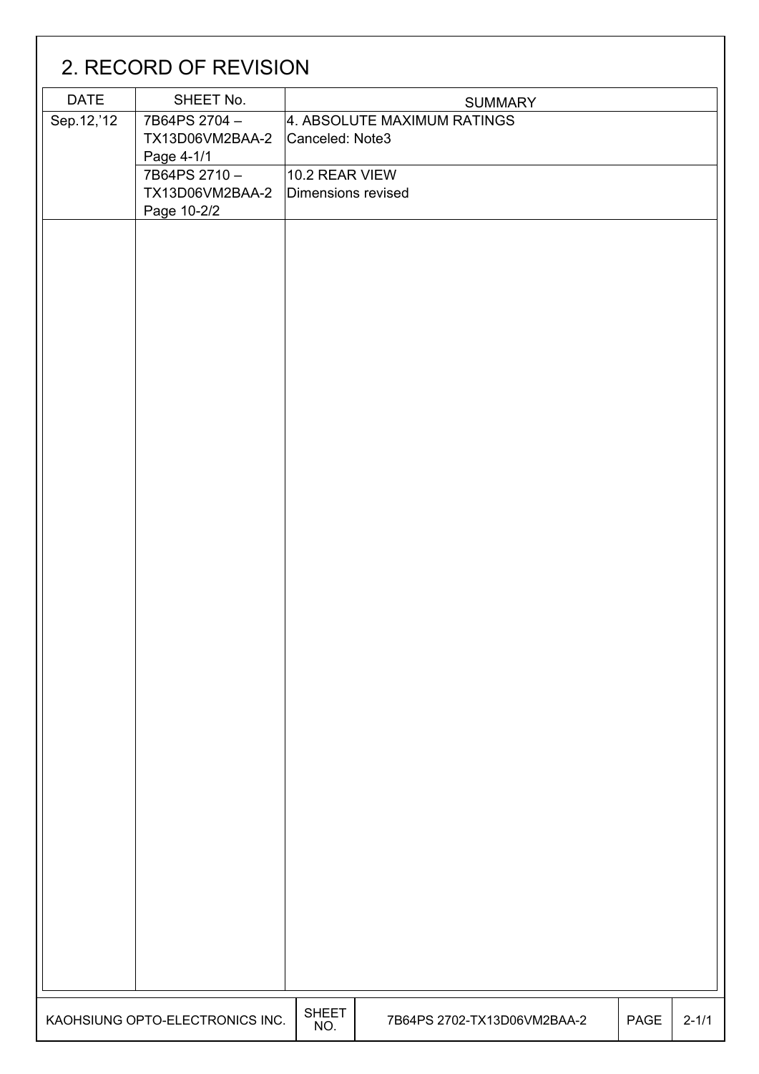|             | 2. RECORD OF REVISION           |                     |                             |      |           |
|-------------|---------------------------------|---------------------|-----------------------------|------|-----------|
| <b>DATE</b> | SHEET No.                       |                     | <b>SUMMARY</b>              |      |           |
| Sep.12,'12  | 7B64PS 2704-                    |                     | 4. ABSOLUTE MAXIMUM RATINGS |      |           |
|             | TX13D06VM2BAA-2                 | Canceled: Note3     |                             |      |           |
|             | Page 4-1/1                      |                     |                             |      |           |
|             | 7B64PS 2710-                    | 10.2 REAR VIEW      |                             |      |           |
|             | TX13D06VM2BAA-2                 | Dimensions revised  |                             |      |           |
|             | Page 10-2/2                     |                     |                             |      |           |
|             |                                 |                     |                             |      |           |
|             |                                 |                     |                             |      |           |
|             |                                 |                     |                             |      |           |
|             |                                 |                     |                             |      |           |
|             |                                 |                     |                             |      |           |
|             |                                 |                     |                             |      |           |
|             |                                 |                     |                             |      |           |
|             |                                 |                     |                             |      |           |
|             |                                 |                     |                             |      |           |
|             |                                 |                     |                             |      |           |
|             |                                 |                     |                             |      |           |
|             |                                 |                     |                             |      |           |
|             |                                 |                     |                             |      |           |
|             |                                 |                     |                             |      |           |
|             |                                 |                     |                             |      |           |
|             |                                 |                     |                             |      |           |
|             |                                 |                     |                             |      |           |
|             |                                 |                     |                             |      |           |
|             |                                 |                     |                             |      |           |
|             |                                 |                     |                             |      |           |
|             |                                 |                     |                             |      |           |
|             |                                 |                     |                             |      |           |
|             |                                 |                     |                             |      |           |
|             |                                 |                     |                             |      |           |
|             |                                 |                     |                             |      |           |
|             |                                 |                     |                             |      |           |
|             |                                 |                     |                             |      |           |
|             |                                 |                     |                             |      |           |
|             |                                 |                     |                             |      |           |
|             |                                 |                     |                             |      |           |
|             |                                 |                     |                             |      |           |
|             |                                 |                     |                             |      |           |
|             |                                 |                     |                             |      |           |
|             |                                 |                     |                             |      |           |
|             |                                 |                     |                             |      |           |
|             |                                 |                     |                             |      |           |
|             |                                 |                     |                             |      |           |
|             |                                 |                     |                             |      |           |
|             |                                 |                     |                             |      |           |
|             | KAOHSIUNG OPTO-ELECTRONICS INC. | <b>SHEET</b><br>NO. | 7B64PS 2702-TX13D06VM2BAA-2 | PAGE | $2 - 1/1$ |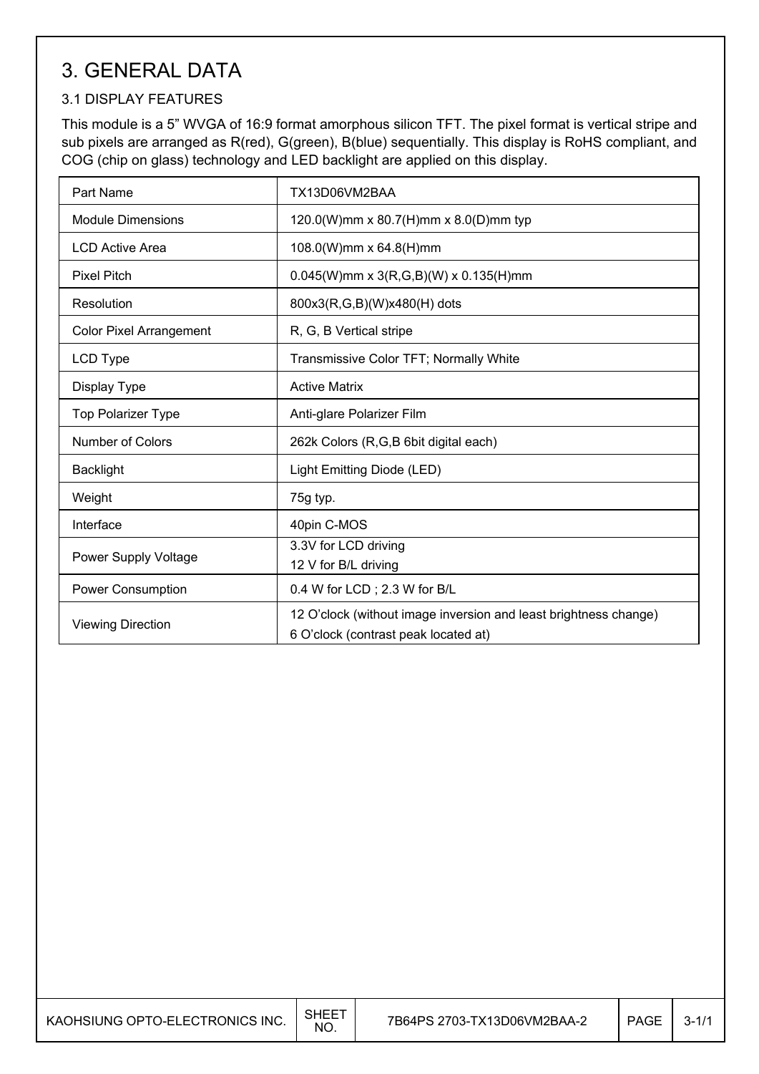## 3. GENERAL DATA

#### 3.1 DISPLAY FEATURES

This module is a 5" WVGA of 16:9 format amorphous silicon TFT. The pixel format is vertical stripe and sub pixels are arranged as R(red), G(green), B(blue) sequentially. This display is RoHS compliant, and COG (chip on glass) technology and LED backlight are applied on this display.

| Part Name                      | TX13D06VM2BAA                                                                                            |  |  |
|--------------------------------|----------------------------------------------------------------------------------------------------------|--|--|
| <b>Module Dimensions</b>       | 120.0(W)mm x 80.7(H)mm x 8.0(D)mm typ                                                                    |  |  |
| LCD Active Area                | 108.0(W)mm x 64.8(H)mm                                                                                   |  |  |
| <b>Pixel Pitch</b>             | $0.045(W)$ mm x 3(R,G,B)(W) x 0.135(H)mm                                                                 |  |  |
| Resolution                     | 800x3(R,G,B)(W)x480(H) dots                                                                              |  |  |
| <b>Color Pixel Arrangement</b> | R, G, B Vertical stripe                                                                                  |  |  |
| LCD Type                       | Transmissive Color TFT; Normally White                                                                   |  |  |
| Display Type                   | <b>Active Matrix</b>                                                                                     |  |  |
| <b>Top Polarizer Type</b>      | Anti-glare Polarizer Film                                                                                |  |  |
| Number of Colors               | 262k Colors (R,G,B 6bit digital each)                                                                    |  |  |
| <b>Backlight</b>               | Light Emitting Diode (LED)                                                                               |  |  |
| Weight                         | 75g typ.                                                                                                 |  |  |
| Interface                      | 40pin C-MOS                                                                                              |  |  |
| Power Supply Voltage           | 3.3V for LCD driving<br>12 V for B/L driving                                                             |  |  |
| Power Consumption              | 0.4 W for LCD; 2.3 W for B/L                                                                             |  |  |
| <b>Viewing Direction</b>       | 12 O'clock (without image inversion and least brightness change)<br>6 O'clock (contrast peak located at) |  |  |

I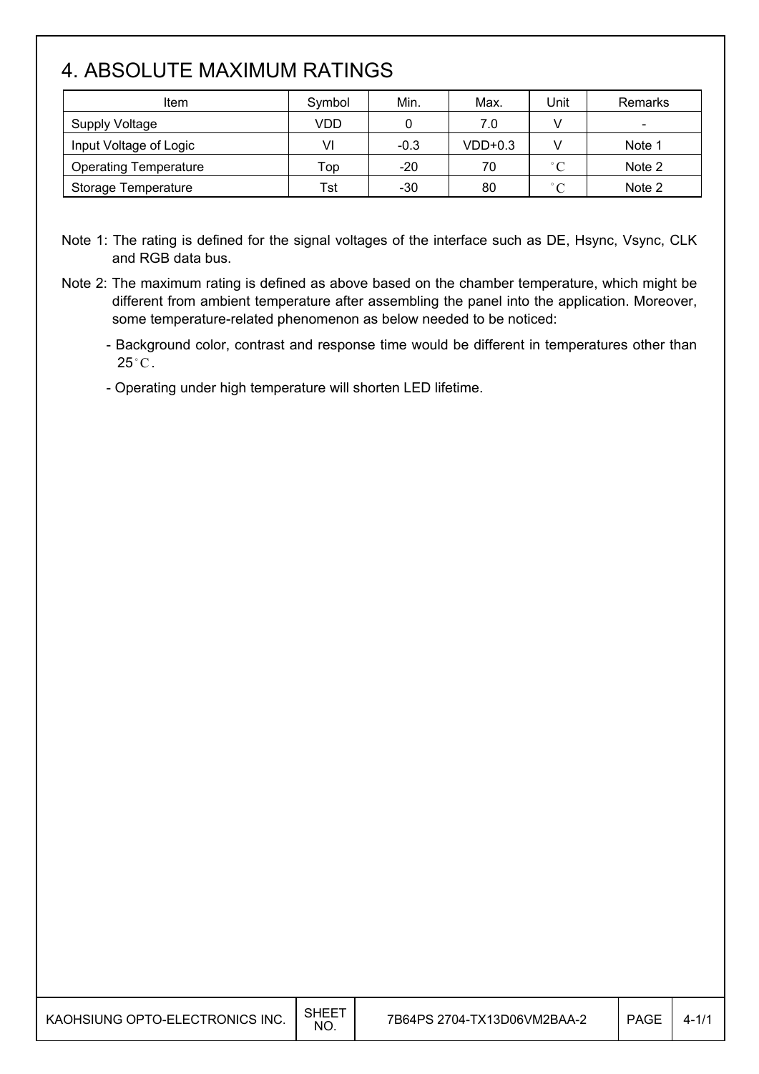### 4. ABSOLUTE MAXIMUM RATINGS

| Item                         | Symbol | Min.   | Max.      | Unit        | Remarks |
|------------------------------|--------|--------|-----------|-------------|---------|
| Supply Voltage               | VDD    |        | 7.0       |             |         |
| Input Voltage of Logic       | VI     | $-0.3$ | $VDD+0.3$ |             | Note 1  |
| <b>Operating Temperature</b> | Top    | $-20$  | 70        | $\degree$ C | Note 2  |
| Storage Temperature          | Tst    | $-30$  | 80        | $\degree$ C | Note 2  |

Note 1: The rating is defined for the signal voltages of the interface such as DE, Hsync, Vsync, CLK and RGB data bus.

- Note 2: The maximum rating is defined as above based on the chamber temperature, which might be different from ambient temperature after assembling the panel into the application. Moreover, some temperature-related phenomenon as below needed to be noticed:
	- Background color, contrast and response time would be different in temperatures other than  $25^{\circ}$ C.
	- Operating under high temperature will shorten LED lifetime.

I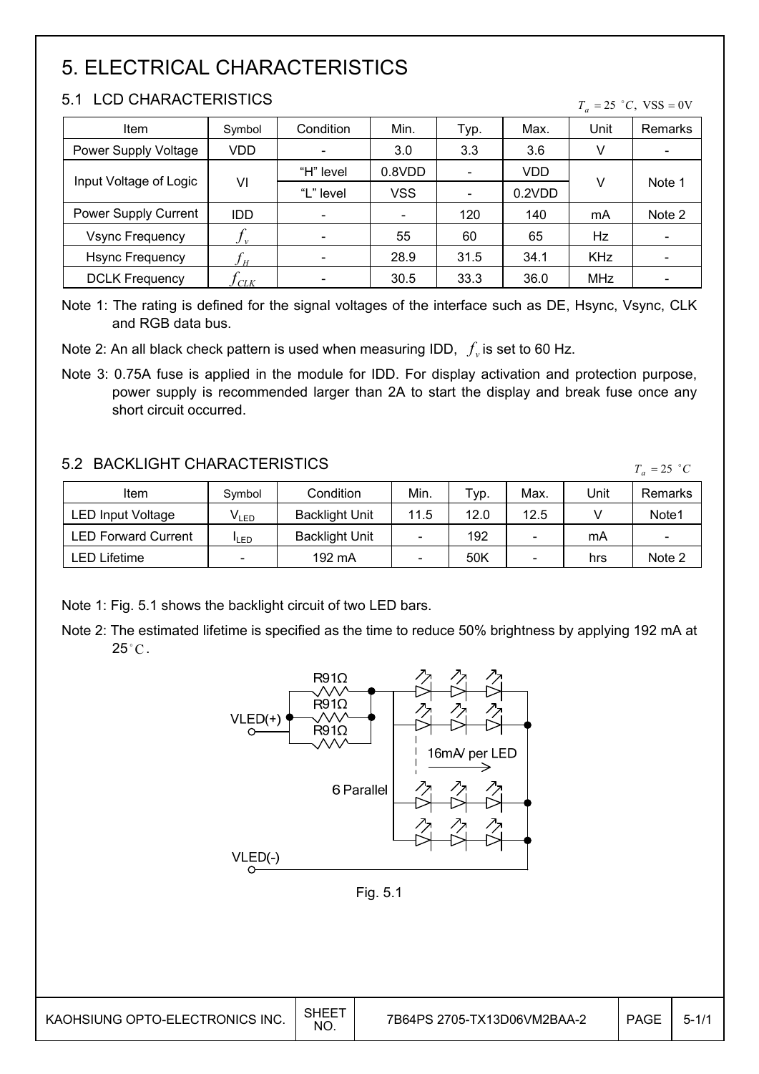## 5. ELECTRICAL CHARACTERISTICS

#### 5.1 LCD CHARACTERISTICS

| ו כ<br>LUD UHARAUTERISTIUS<br>$T_a = 25$ °C, VSS = 0V |            |           |        |      |        |            |                          |
|-------------------------------------------------------|------------|-----------|--------|------|--------|------------|--------------------------|
| Item                                                  | Symbol     | Condition | Min.   | Typ. | Max.   | Unit       | Remarks                  |
| Power Supply Voltage                                  | VDD        |           | 3.0    | 3.3  | 3.6    | V          |                          |
| Input Voltage of Logic                                |            | "H" level | 0.8VDD |      | VDD    |            |                          |
|                                                       | VI         | "L" level | VSS    |      | 0.2VDD | V          | Note 1                   |
| Power Supply Current                                  | <b>IDD</b> |           |        | 120  | 140    | mA         | Note 2                   |
| <b>Vsync Frequency</b>                                | $J_{v}$    |           | 55     | 60   | 65     | Hz         | $\overline{\phantom{a}}$ |
| <b>Hsync Frequency</b>                                | H          |           | 28.9   | 31.5 | 34.1   | <b>KHz</b> |                          |
| <b>DCLK Frequency</b>                                 | CLK        |           | 30.5   | 33.3 | 36.0   | MHz        |                          |

Note 1: The rating is defined for the signal voltages of the interface such as DE, Hsync, Vsync, CLK and RGB data bus.

Note 2: An all black check pattern is used when measuring IDD,  $f_v$  is set to 60 Hz.

Note 3: 0.75A fuse is applied in the module for IDD. For display activation and protection purpose, power supply is recommended larger than 2A to start the display and break fuse once any short circuit occurred.

#### 5.2 BACKLIGHT CHARACTERISTICS

| 3.2 DAUNLIUM I UMARAU I ERISTIUS. |                  |                       |      |      |      |      | $T_a = 25$ °C            |
|-----------------------------------|------------------|-----------------------|------|------|------|------|--------------------------|
| Item                              | Symbol           | Condition             | Min. | Typ. | Max. | Unit | Remarks                  |
| <b>LED Input Voltage</b>          | V <sub>led</sub> | <b>Backlight Unit</b> | 11.5 | 12.0 | 12.5 |      | Note1                    |
| <b>LED Forward Current</b>        | <b>ILED</b>      | <b>Backlight Unit</b> |      | 192  | -    | mA   | $\overline{\phantom{a}}$ |
| LED Lifetime                      | -                | 192 mA                |      | 50K  |      | hrs  | Note 2                   |

Note 1: Fig. 5.1 shows the backlight circuit of two LED bars.

Note 2: The estimated lifetime is specified as the time to reduce 50% brightness by applying 192 mA at  $25^{\circ}$ C.



 $\overline{\phantom{a}}$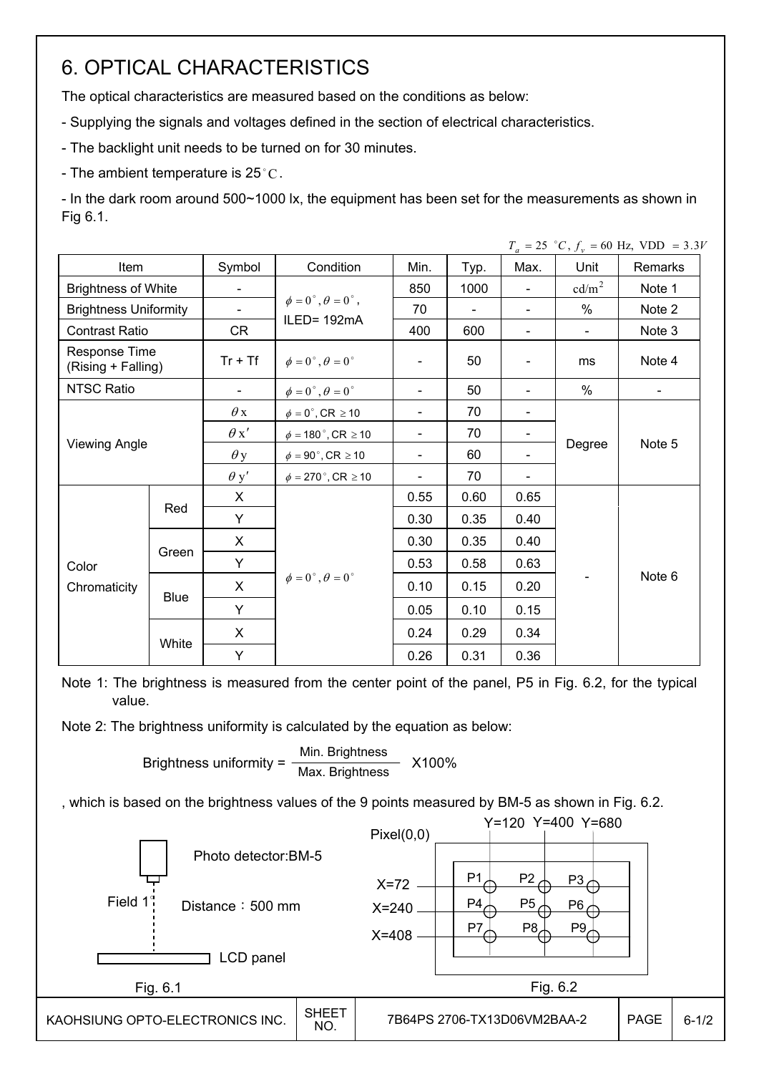### 6. OPTICAL CHARACTERISTICS

The optical characteristics are measured based on the conditions as below:

- Supplying the signals and voltages defined in the section of electrical characteristics.

- The backlight unit needs to be turned on for 30 minutes.

- The ambient temperature is 25 °C.

- In the dark room around 500~1000 lx, the equipment has been set for the measurements as shown in Fig 6.1.

|                                     |             |                          |                                         |                          |                |                          |                          | $T_a = 25$ °C, $f_v = 60$ Hz, VDD = 3.3V |
|-------------------------------------|-------------|--------------------------|-----------------------------------------|--------------------------|----------------|--------------------------|--------------------------|------------------------------------------|
| Item                                |             | Symbol                   | Condition                               | Min.                     | Typ.           | Max.                     | Unit                     | Remarks                                  |
| <b>Brightness of White</b>          |             | $\overline{\phantom{0}}$ |                                         | 850                      | 1000           | $\blacksquare$           | $\text{cd/m}^2$          | Note 1                                   |
| <b>Brightness Uniformity</b>        |             | $\overline{\phantom{a}}$ | $\phi = 0^{\circ}, \theta = 0^{\circ},$ | 70                       | $\blacksquare$ | $\blacksquare$           | $\%$                     | Note 2                                   |
| <b>Contrast Ratio</b>               |             | CR                       | ILED= 192mA                             | 400                      | 600            |                          | $\overline{\phantom{a}}$ | Note 3                                   |
| Response Time<br>(Rising + Falling) |             | $Tr + Tf$                | $\phi = 0^{\circ}, \theta = 0^{\circ}$  | $\blacksquare$           | 50             | $\overline{\phantom{a}}$ | ms                       | Note 4                                   |
| <b>NTSC Ratio</b>                   |             | $\overline{\phantom{0}}$ | $\phi = 0^\circ$ , $\theta = 0^\circ$   | $\blacksquare$           | 50             | $\overline{\phantom{a}}$ | %                        | $\blacksquare$                           |
|                                     |             | $\theta$ x               | $\phi = 0^\circ$ , CR $\geq 10$         | $\overline{\phantom{0}}$ | 70             | $\overline{\phantom{a}}$ |                          |                                          |
|                                     |             | $\theta x'$              | $\phi = 180$ °, CR $\geq 10$            | $\overline{\phantom{0}}$ | 70             |                          |                          |                                          |
| <b>Viewing Angle</b>                |             | $\theta$ y               | $\phi = 90^\circ$ , CR $\geq 10$        | $\overline{\phantom{0}}$ | 60             |                          | Degree                   | Note 5                                   |
|                                     |             | $\theta$ y'              | $\phi = 270$ °, CR $\geq 10$            |                          | 70             |                          |                          |                                          |
|                                     | Red         | X                        |                                         | 0.55                     | 0.60           | 0.65                     |                          |                                          |
|                                     |             | Y                        |                                         | 0.30                     | 0.35           | 0.40                     |                          |                                          |
|                                     |             | X                        |                                         | 0.30                     | 0.35           | 0.40                     |                          |                                          |
| Color                               | Green       | Y                        |                                         | 0.53                     | 0.58           | 0.63                     |                          |                                          |
| Chromaticity                        |             | X                        | $\phi = 0^{\circ}, \theta = 0^{\circ}$  | 0.10                     | 0.15           | 0.20                     |                          | Note 6                                   |
|                                     | <b>Blue</b> | Y                        |                                         | 0.05                     | 0.10           | 0.15                     |                          |                                          |
|                                     |             | X                        |                                         | 0.24                     | 0.29           | 0.34                     |                          |                                          |
|                                     | White       | Y                        |                                         | 0.26                     | 0.31           | 0.36                     |                          |                                          |

Note 1: The brightness is measured from the center point of the panel, P5 in Fig. 6.2, for the typical value.

Note 2: The brightness uniformity is calculated by the equation as below:

Brightness uniformity =  $\frac{\text{Min.~Brightness}}{\text{Max.~Brightness}}$  X100%

, which is based on the brightness values of the 9 points measured by BM-5 as shown in Fig. 6.2.

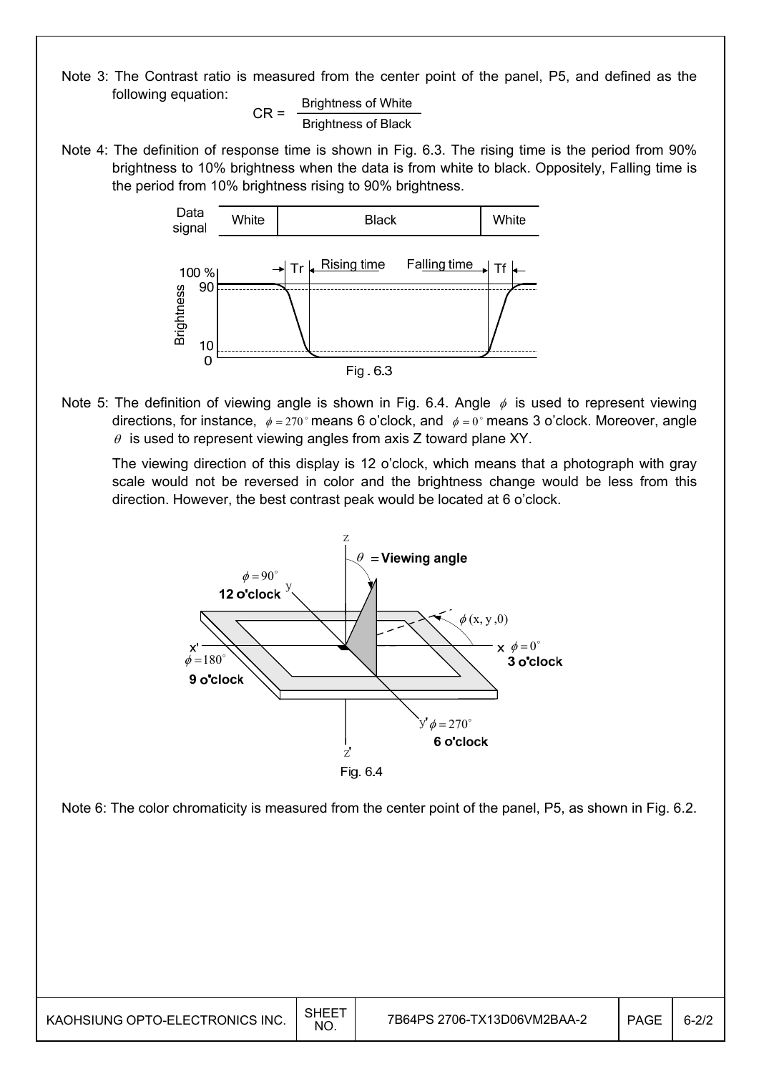Note 3: The Contrast ratio is measured from the center point of the panel, P5, and defined as the following equation:

 $CR =$  Brightness of White Brightness of Black

Note 4: The definition of response time is shown in Fig. 6.3. The rising time is the period from 90% brightness to 10% brightness when the data is from white to black. Oppositely, Falling time is the period from 10% brightness rising to 90% brightness.



Note 5: The definition of viewing angle is shown in Fig. 6.4. Angle  $\phi$  is used to represent viewing directions, for instance,  $\phi = 270^\circ$  means 6 o'clock, and  $\phi = 0^\circ$  means 3 o'clock. Moreover, angle  $\theta$  is used to represent viewing angles from axis Z toward plane XY.

 The viewing direction of this display is 12 o'clock, which means that a photograph with gray scale would not be reversed in color and the brightness change would be less from this direction. However, the best contrast peak would be located at 6 o'clock.



Note 6: The color chromaticity is measured from the center point of the panel, P5, as shown in Fig. 6.2.

I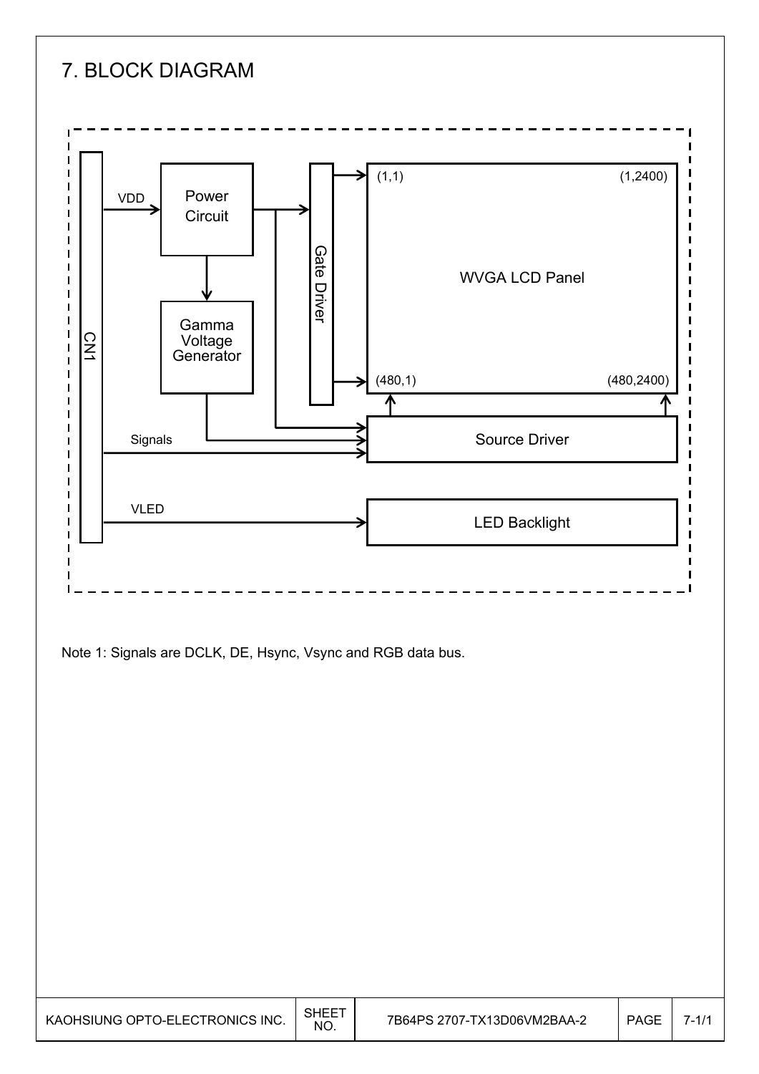

Note 1: Signals are DCLK, DE, Hsync, Vsync and RGB data bus.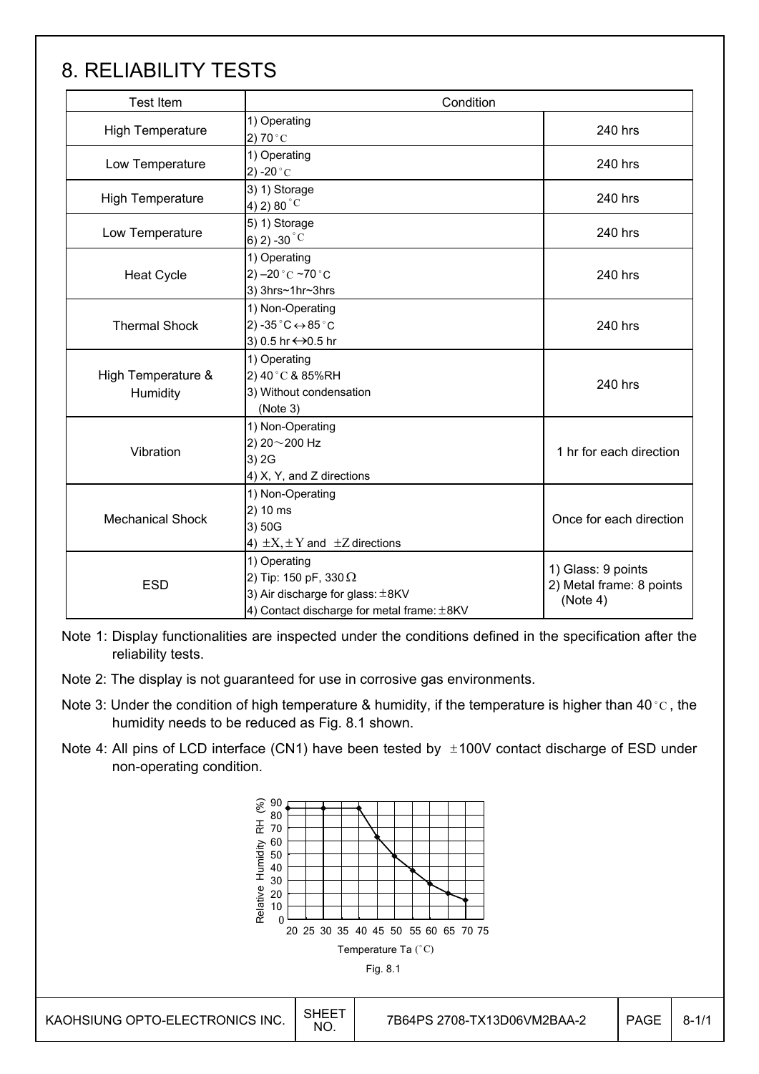### 8. RELIABILITY TESTS

| <b>Test Item</b>                                                                                                                             | Condition                                                                                       |                                                            |  |  |
|----------------------------------------------------------------------------------------------------------------------------------------------|-------------------------------------------------------------------------------------------------|------------------------------------------------------------|--|--|
| <b>High Temperature</b>                                                                                                                      | 1) Operating<br>2) 70 $^{\circ}$ C                                                              | 240 hrs                                                    |  |  |
| Low Temperature                                                                                                                              | 1) Operating<br>2) -20 $^{\circ}$ C                                                             |                                                            |  |  |
| <b>High Temperature</b>                                                                                                                      | 3) 1) Storage<br>4) 2) 80 $^{\circ}$ C                                                          |                                                            |  |  |
| Low Temperature                                                                                                                              | 5) 1) Storage<br>6) 2) -30 $^{\circ}$ C                                                         | 240 hrs                                                    |  |  |
| <b>Heat Cycle</b>                                                                                                                            | 1) Operating<br>2) $-20$ °C $-70$ °C<br>3) 3hrs~1hr~3hrs                                        | 240 hrs                                                    |  |  |
| <b>Thermal Shock</b>                                                                                                                         | 1) Non-Operating<br>2) -35 $^{\circ}$ C $\leftrightarrow$ 85 $^{\circ}$ C<br>3) 0.5 hr ↔ 0.5 hr | 240 hrs                                                    |  |  |
| High Temperature &<br>Humidity                                                                                                               | 1) Operating<br>2) 40°C & 85%RH<br>3) Without condensation<br>(Note 3)                          | 240 hrs                                                    |  |  |
| Vibration                                                                                                                                    | 1) Non-Operating<br>2) 20~200 Hz<br>3) 2G<br>4) X, Y, and Z directions                          |                                                            |  |  |
| <b>Mechanical Shock</b>                                                                                                                      | 1) Non-Operating<br>2) 10 ms<br>3) 50G<br>4) $\pm X, \pm Y$ and $\pm Z$ directions              | Once for each direction                                    |  |  |
| 1) Operating<br>2) Tip: 150 pF, 330 $\Omega$<br><b>ESD</b><br>3) Air discharge for glass: ±8KV<br>4) Contact discharge for metal frame: ±8KV |                                                                                                 | 1) Glass: 9 points<br>2) Metal frame: 8 points<br>(Note 4) |  |  |

Note 1: Display functionalities are inspected under the conditions defined in the specification after the reliability tests.

- Note 2: The display is not guaranteed for use in corrosive gas environments.
- Note 3: Under the condition of high temperature & humidity, if the temperature is higher than 40 °C, the humidity needs to be reduced as Fig. 8.1 shown.
- Note 4: All pins of LCD interface (CN1) have been tested by  $\pm 100V$  contact discharge of ESD under non-operating condition.

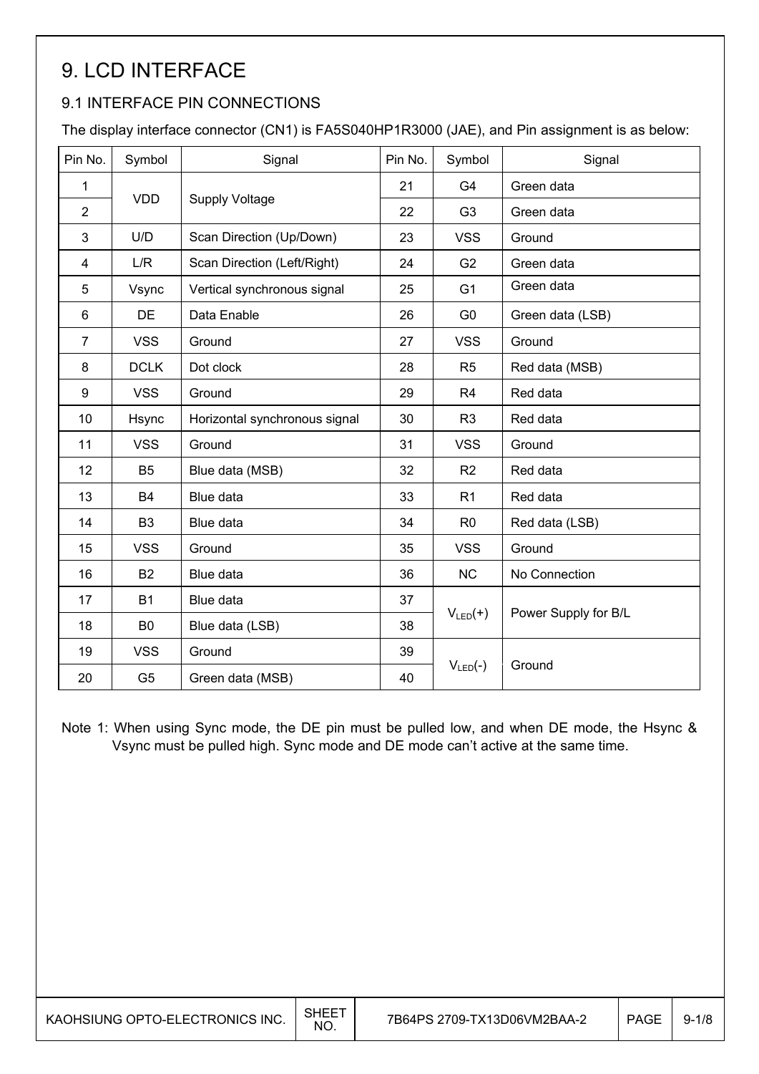## 9. LCD INTERFACE

#### 9.1 INTERFACE PIN CONNECTIONS

The display interface connector (CN1) is FA5S040HP1R3000 (JAE), and Pin assignment is as below:

| Pin No.        | Symbol         | Signal                        | Pin No. | Symbol         | Signal               |  |
|----------------|----------------|-------------------------------|---------|----------------|----------------------|--|
| 1              |                |                               | 21      | G4             | Green data           |  |
| $\overline{2}$ | <b>VDD</b>     | <b>Supply Voltage</b>         | 22      | G <sub>3</sub> | Green data           |  |
| 3              | U/D            | Scan Direction (Up/Down)      | 23      | <b>VSS</b>     | Ground               |  |
| 4              | L/R            | Scan Direction (Left/Right)   | 24      | G <sub>2</sub> | Green data           |  |
| 5              | Vsync          | Vertical synchronous signal   | 25      | G <sub>1</sub> | Green data           |  |
| 6              | <b>DE</b>      | Data Enable                   | 26      | G <sub>0</sub> | Green data (LSB)     |  |
| $\overline{7}$ | <b>VSS</b>     | Ground                        | 27      | <b>VSS</b>     | Ground               |  |
| 8              | <b>DCLK</b>    | Dot clock                     | 28      | R <sub>5</sub> | Red data (MSB)       |  |
| 9              | <b>VSS</b>     | Ground                        | 29      | R <sub>4</sub> | Red data             |  |
| 10             | Hsync          | Horizontal synchronous signal | 30      | R <sub>3</sub> | Red data             |  |
| 11             | <b>VSS</b>     | Ground                        | 31      | <b>VSS</b>     | Ground               |  |
| 12             | B <sub>5</sub> | Blue data (MSB)               | 32      | R <sub>2</sub> | Red data             |  |
| 13             | <b>B4</b>      | Blue data                     | 33      | R <sub>1</sub> | Red data             |  |
| 14             | B <sub>3</sub> | Blue data                     | 34      | R <sub>0</sub> | Red data (LSB)       |  |
| 15             | <b>VSS</b>     | Ground                        | 35      | <b>VSS</b>     | Ground               |  |
| 16             | <b>B2</b>      | Blue data                     | 36      | <b>NC</b>      | No Connection        |  |
| 17             | <b>B1</b>      | Blue data                     | 37      |                |                      |  |
| 18             | B <sub>0</sub> | Blue data (LSB)               | 38      | $V_{LED}(+)$   | Power Supply for B/L |  |
| 19             | <b>VSS</b>     | Ground                        | 39      |                |                      |  |
| 20             | G <sub>5</sub> | Green data (MSB)              | 40      | $V_{LED}(-)$   | Ground               |  |

Note 1: When using Sync mode, the DE pin must be pulled low, and when DE mode, the Hsync & Vsync must be pulled high. Sync mode and DE mode can't active at the same time.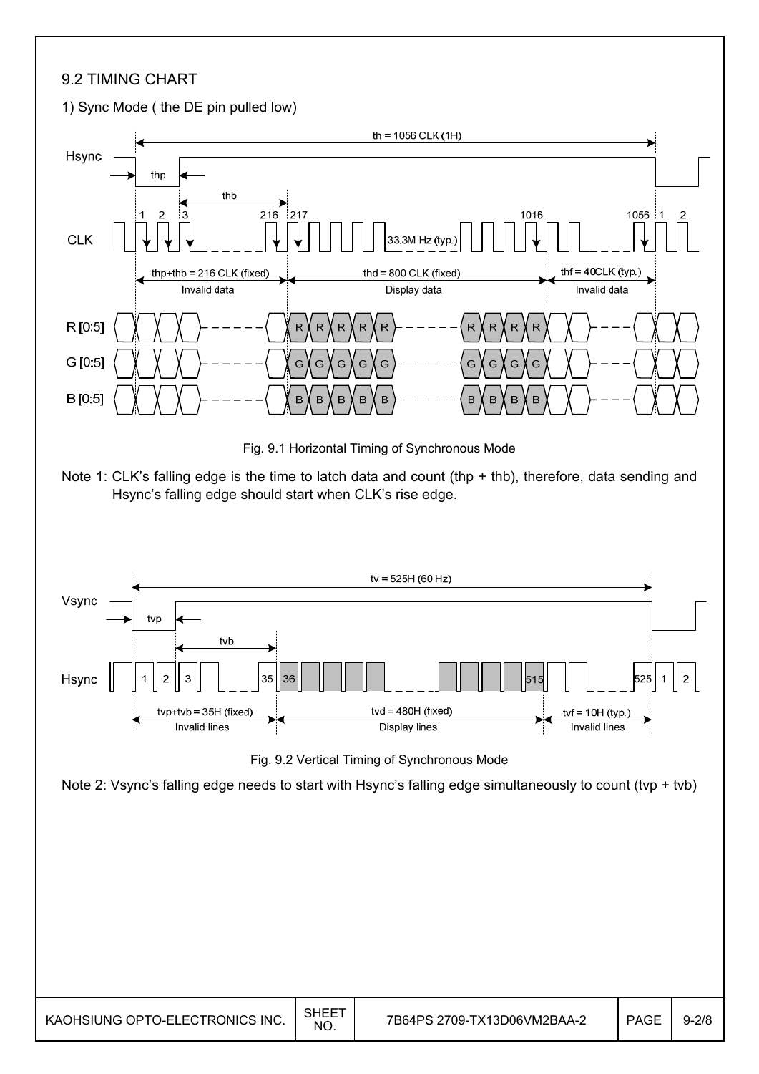#### 9.2 TIMING CHART



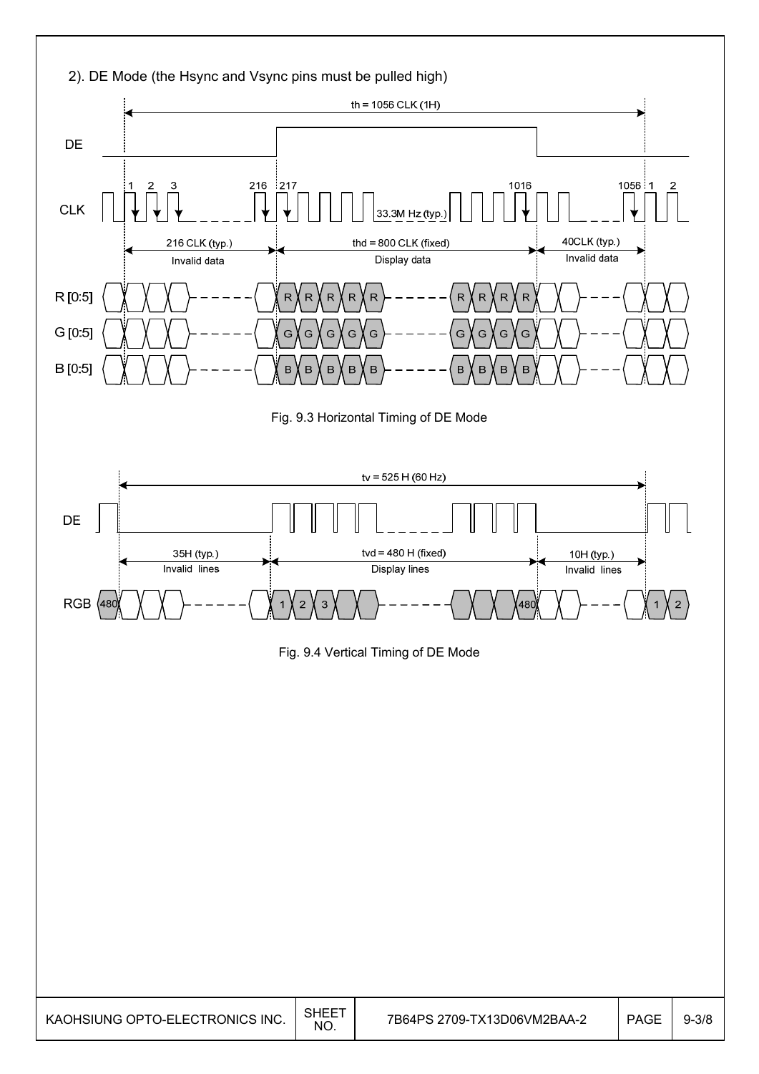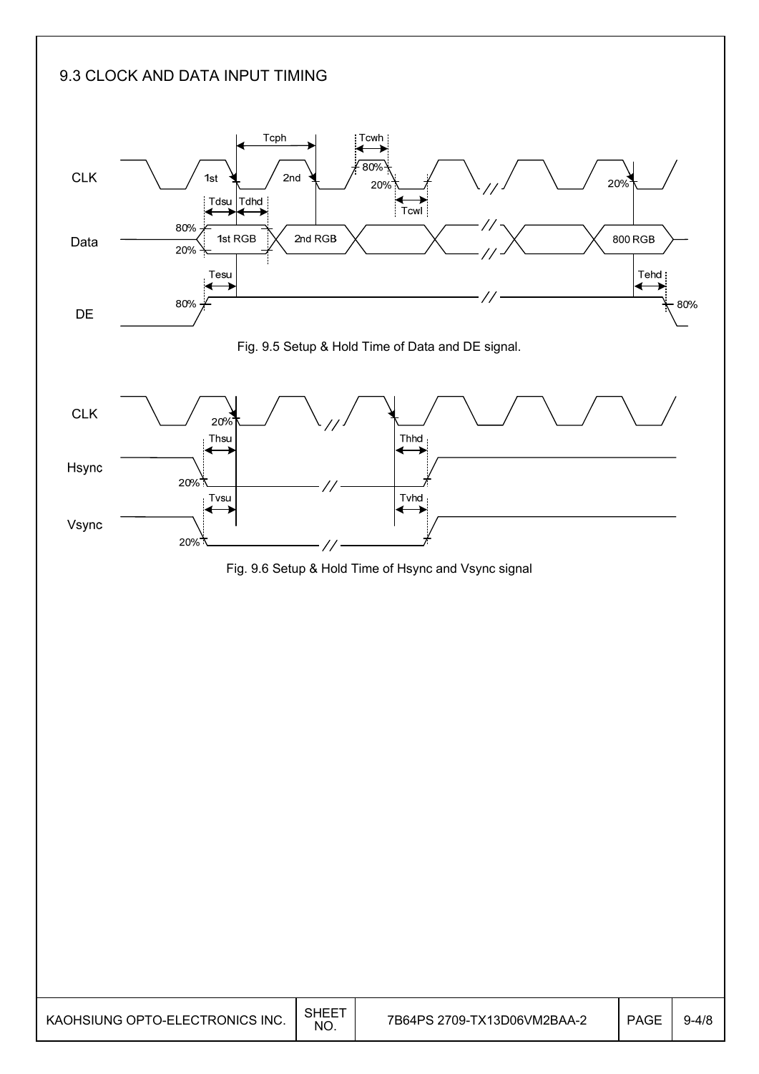#### 9.3 CLOCK AND DATA INPUT TIMING

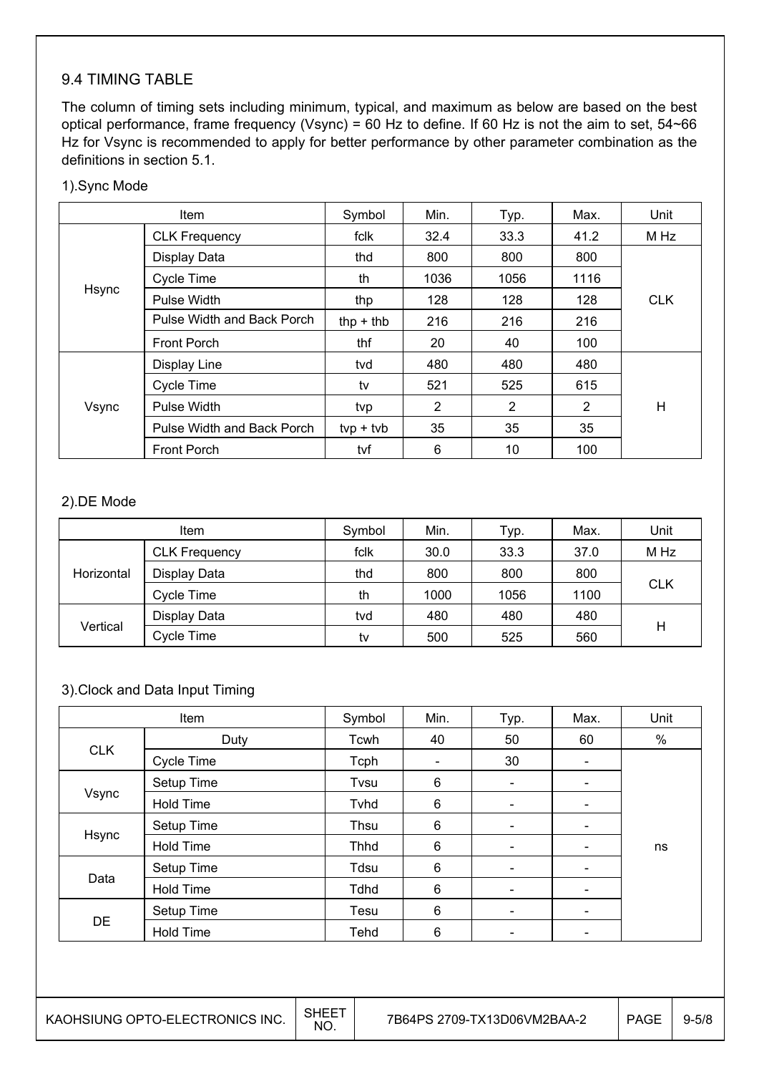#### 9.4 TIMING TABLE

The column of timing sets including minimum, typical, and maximum as below are based on the best optical performance, frame frequency (Vsync) = 60 Hz to define. If 60 Hz is not the aim to set, 54~66 Hz for Vsync is recommended to apply for better performance by other parameter combination as the definitions in section 5.1.

| Item  |                            | Symbol      | Min. | Typ. | Max. | Unit       |
|-------|----------------------------|-------------|------|------|------|------------|
|       | <b>CLK Frequency</b>       | fclk        | 32.4 | 33.3 | 41.2 | M Hz       |
|       | Display Data               | thd         | 800  | 800  | 800  |            |
|       | Cycle Time                 | th          | 1036 | 1056 | 1116 |            |
| Hsync | Pulse Width                | thp         | 128  | 128  | 128  | <b>CLK</b> |
|       | Pulse Width and Back Porch | thp $+$ thb | 216  | 216  | 216  |            |
|       | <b>Front Porch</b>         | thf         | 20   | 40   | 100  |            |
| Vsync | Display Line               | tvd         | 480  | 480  | 480  |            |
|       | Cycle Time                 | tv          | 521  | 525  | 615  |            |
|       | Pulse Width                | tvp         | 2    | 2    | 2    | Н          |
|       | Pulse Width and Back Porch | $typ + tvb$ | 35   | 35   | 35   |            |
|       | <b>Front Porch</b>         | tvf         | 6    | 10   | 100  |            |

#### 2).DE Mode

|            | <b>Item</b>          | Symbol | Min. | Typ. | Max. | Unit       |  |
|------------|----------------------|--------|------|------|------|------------|--|
| Horizontal | <b>CLK Frequency</b> | fclk   | 30.0 | 33.3 | 37.0 | M Hz       |  |
|            | Display Data         | thd    | 800  | 800  | 800  | <b>CLK</b> |  |
|            | Cycle Time           | th     | 1000 | 1056 | 1100 |            |  |
| Vertical   | Display Data         | tvd    | 480  | 480  | 480  | Η          |  |
|            | Cycle Time           | tv     | 500  | 525  | 560  |            |  |

#### 3).Clock and Data Input Timing

| Item       |                  | Symbol | Min.                         | Typ.                     | Max.                     | Unit |
|------------|------------------|--------|------------------------------|--------------------------|--------------------------|------|
| Duty       |                  | Tcwh   | 40                           | 50                       | 60                       | $\%$ |
| <b>CLK</b> | Cycle Time       | Tcph   | $\qquad \qquad \blacksquare$ | 30                       | $\overline{\phantom{a}}$ |      |
|            | Setup Time       | Tvsu   | 6                            | $\overline{\phantom{a}}$ | $\overline{\phantom{a}}$ |      |
| Vsync      | <b>Hold Time</b> | Tvhd   | 6                            | $\overline{\phantom{a}}$ |                          |      |
|            | Setup Time       | Thsu   | 6                            | $\overline{\phantom{a}}$ |                          |      |
| Hsync      | <b>Hold Time</b> | Thhd   | 6                            | $\overline{\phantom{a}}$ | $\overline{\phantom{0}}$ | ns   |
|            | Setup Time       | Tdsu   | 6                            | $\overline{\phantom{a}}$ | $\overline{\phantom{0}}$ |      |
| Data       | <b>Hold Time</b> | Tdhd   | 6                            | $\overline{\phantom{a}}$ | $\overline{\phantom{0}}$ |      |
|            | Setup Time       | Tesu   | 6                            | $\overline{\phantom{a}}$ | $\overline{\phantom{0}}$ |      |
| DE         | <b>Hold Time</b> | Tehd   | 6                            | $\overline{\phantom{a}}$ | -                        |      |

 $\overline{\phantom{a}}$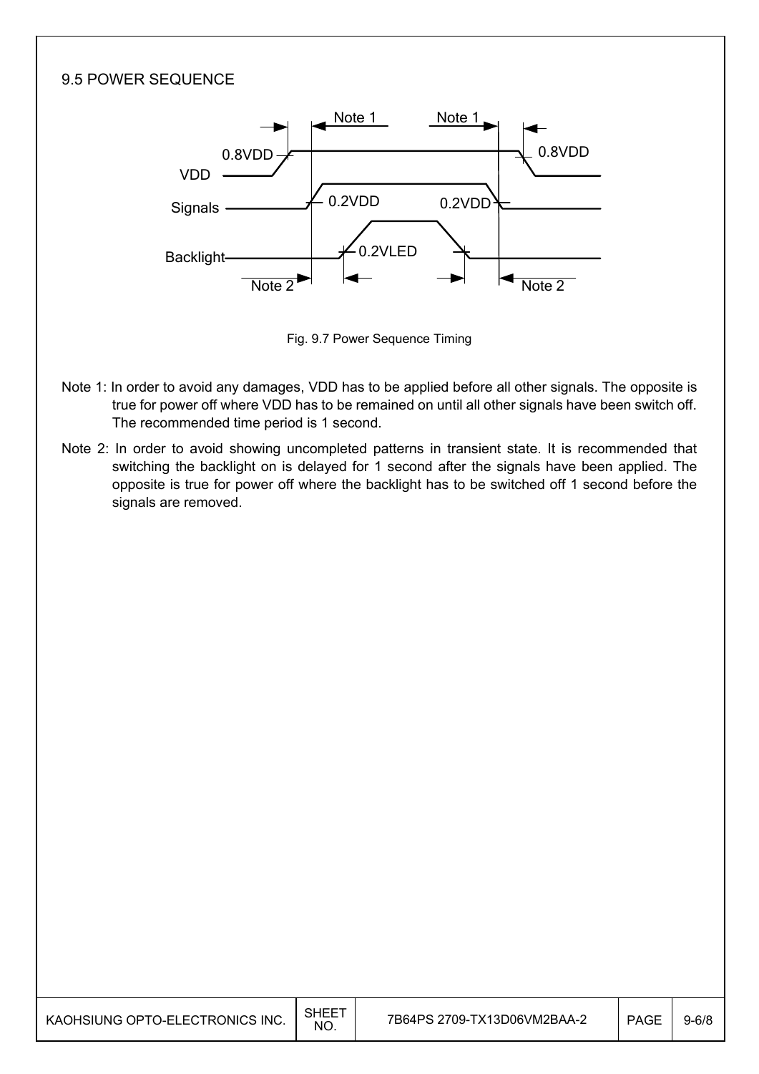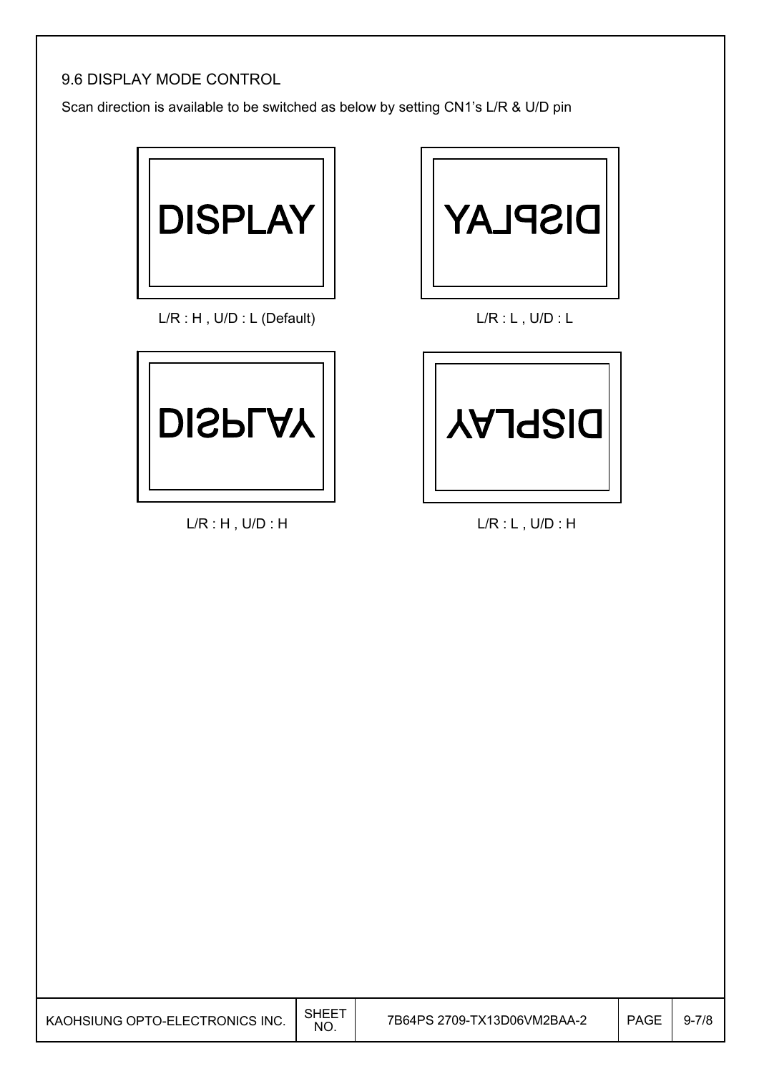#### 9.6 DISPLAY MODE CONTROL

Scan direction is available to be switched as below by setting CN1's L/R & U/D pin



L/R : H, U/D : L (Default) L/R : L, U/D : L



L/R : H , U/D : H L/R : L , U/D : H

I



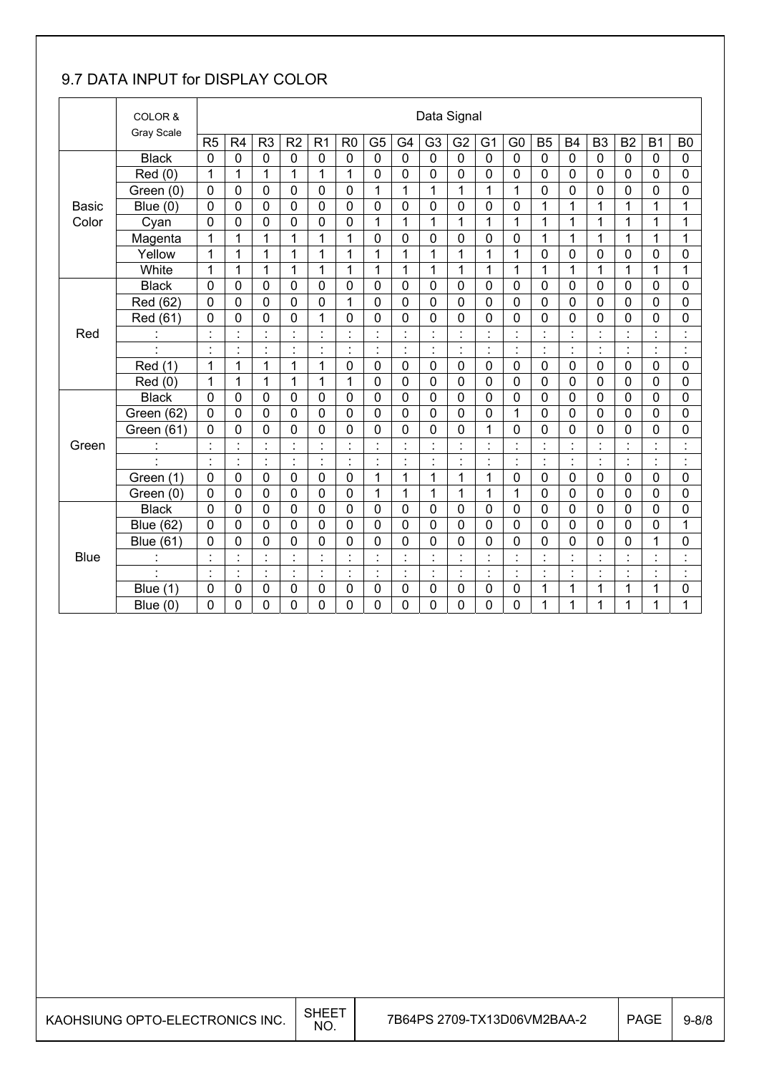### 9.7 DATA INPUT for DISPLAY COLOR

|              | COLOR &<br>Gray Scale |                |                      |                      |                |                |                      |                                  |                |                | Data Signal    |                |                                  |                |                      |                          |                      |                          |                                 |
|--------------|-----------------------|----------------|----------------------|----------------------|----------------|----------------|----------------------|----------------------------------|----------------|----------------|----------------|----------------|----------------------------------|----------------|----------------------|--------------------------|----------------------|--------------------------|---------------------------------|
|              |                       | R <sub>5</sub> | R4                   | R <sub>3</sub>       | R <sub>2</sub> | R <sub>1</sub> | R <sub>0</sub>       | G <sub>5</sub>                   | G <sub>4</sub> | G <sub>3</sub> | G <sub>2</sub> | G <sub>1</sub> | G <sub>0</sub>                   | <b>B5</b>      | <b>B4</b>            | B <sub>3</sub>           | <b>B2</b>            | <b>B1</b>                | B <sub>0</sub>                  |
|              | <b>Black</b>          | 0              | $\mathbf 0$          | $\mathbf 0$          | 0              | 0              | 0                    | 0                                | $\mathbf 0$    | $\mathbf 0$    | 0              | 0              | $\mathbf 0$                      | $\mathbf 0$    | $\mathbf 0$          | $\mathbf 0$              | 0                    | $\mathbf{0}$             | $\mathbf 0$                     |
|              | Red(0)                | 1              | 1                    | $\mathbf{1}$         | 1              | 1              | 1                    | 0                                | $\mathbf 0$    | 0              | $\mathbf 0$    | 0              | 0                                | $\mathbf 0$    | 0                    | 0                        | 0                    | 0                        | 0                               |
|              | Green (0)             | $\mathbf 0$    | $\mathbf 0$          | 0                    | 0              | 0              | $\mathbf 0$          | $\mathbf{1}$                     | 1              | $\mathbf{1}$   | $\mathbf{1}$   | $\mathbf{1}$   | 1                                | $\mathbf 0$    | $\mathbf 0$          | $\mathbf 0$              | $\mathbf 0$          | 0                        | 0                               |
| <b>Basic</b> | Blue $(0)$            | $\mathbf 0$    | $\mathbf 0$          | 0                    | 0              | 0              | $\overline{0}$       | 0                                | $\overline{0}$ | $\overline{0}$ | $\mathbf 0$    | 0              | 0                                | 1              | 1                    | 1                        | 1                    | 1                        | 1                               |
| Color        | Cyan                  | 0              | 0                    | 0                    | 0              | 0              | 0                    | 1                                | 1              | $\mathbf{1}$   | 1              | 1              | 1                                | 1              | 1                    | 1                        | 1                    | 1                        | 1                               |
|              | Magenta               | 1              | 1                    | 1                    | 1              | 1              | 1                    | 0                                | $\mathbf 0$    | 0              | $\mathbf 0$    | 0              | $\mathbf 0$                      | 1              | 1                    | 1                        | 1                    | $\mathbf 1$              | 1                               |
|              | Yellow                | 1              | 1                    | $\mathbf{1}$         | $\mathbf{1}$   | $\mathbf{1}$   | 1                    | 1                                | 1              | $\mathbf{1}$   | $\mathbf{1}$   | 1              | $\mathbf 1$                      | $\mathbf 0$    | $\mathbf 0$          | $\mathbf 0$              | 0                    | 0                        | 0                               |
|              | White                 | 1              | 1                    | $\mathbf{1}$         | $\mathbf{1}$   | 1              | 1                    | $\mathbf{1}$                     | $\mathbf{1}$   | $\overline{1}$ | 1              | 1              | 1                                | $\mathbf 1$    | 1                    | 1                        | 1                    | 1                        | 1                               |
|              | <b>Black</b>          | 0              | $\mathbf 0$          | 0                    | 0              | $\mathbf 0$    | 0                    | 0                                | $\mathbf 0$    | 0              | 0              | 0              | $\mathbf 0$                      | $\mathbf 0$    | $\mathbf 0$          | 0                        | 0                    | 0                        | 0                               |
|              | Red (62)              | 0              | 0                    | 0                    | $\mathbf 0$    | 0              | 1                    | 0                                | $\mathbf 0$    | $\Omega$       | $\mathbf 0$    | 0              | 0                                | $\overline{0}$ | $\mathbf 0$          | $\mathbf 0$              | 0                    | 0                        | 0                               |
|              | Red (61)              | 0              | 0                    | 0                    | 0              | 1              | 0                    | 0                                | $\mathbf 0$    | 0              | 0              | 0              | 0                                | $\mathbf 0$    | 0                    | $\mathbf 0$              | 0                    | 0                        | 0                               |
| Red          | $\ddot{\cdot}$        | $\blacksquare$ | Ì.                   | $\blacksquare$       | $\blacksquare$ | $\blacksquare$ | ٠                    | $\blacksquare$<br>$\epsilon$     | $\blacksquare$ | $\blacksquare$ | $\blacksquare$ | $\cdot$        | $\blacksquare$<br>×,             | $\blacksquare$ | $\blacksquare$       | $\cdot$                  | $\blacksquare$       | $\overline{\phantom{a}}$ | $\ddot{\phantom{a}}$            |
|              | $\blacksquare$        | $\cdot$        | $\blacksquare$       | $\blacksquare$<br>×, | $\blacksquare$ | $\cdot$        | ٠                    | $\blacksquare$<br>$\epsilon$     | $\blacksquare$ | $\blacksquare$ | $\blacksquare$ | $\blacksquare$ | $\blacksquare$                   | $\cdot$        | $\blacksquare$       | $\blacksquare$           | $\blacksquare$       | $\blacksquare$           | $\blacksquare$<br>j.            |
|              | Red (1)               | 1              | 1                    | $\mathbf{1}$         | $\mathbf{1}$   | $\mathbf{1}$   | $\overline{0}$       | 0                                | $\mathbf 0$    | 0              | $\mathbf 0$    | $\mathbf 0$    | $\mathbf 0$                      | $\mathbf 0$    | $\mathbf 0$          | $\mathbf 0$              | 0                    | 0                        | 0                               |
|              | Red (0)               | 1              | 1                    | $\mathbf{1}$         | 1              | 1              | 1                    | 0                                | $\mathbf 0$    | 0              | 0              | 0              | 0                                | $\mathbf 0$    | $\mathbf 0$          | $\mathbf 0$              | 0                    | 0                        | 0                               |
|              | <b>Black</b>          | $\mathbf 0$    | $\mathbf 0$          | 0                    | 0              | $\mathbf 0$    | 0                    | 0                                | $\mathbf 0$    | 0              | $\mathbf 0$    | $\mathbf 0$    | $\mathbf 0$                      | $\mathbf 0$    | $\mathbf 0$          | $\mathbf 0$              | $\mathbf 0$          | $\mathbf 0$              | $\mathbf 0$                     |
|              | Green (62)            | 0              | 0                    | 0                    | 0              | $\mathbf 0$    | $\mathbf 0$          | 0                                | $\mathbf 0$    | 0              | $\mathbf 0$    | 0              | 1                                | $\mathbf 0$    | $\mathbf 0$          | 0                        | 0                    | 0                        | $\mathbf 0$                     |
|              | Green (61)            | 0              | $\overline{0}$       | 0                    | 0              | 0              | 0                    | 0                                | $\mathbf 0$    | $\overline{0}$ | 0              | 1              | 0                                | $\mathbf 0$    | $\overline{0}$       | 0                        | 0                    | 0                        | 0                               |
| Green        |                       | $\cdot$        | $\ddot{\phantom{a}}$ | $\ddot{\phantom{a}}$ | $\blacksquare$ | $\cdot$        | $\blacksquare$       | $\ddot{\cdot}$                   |                |                | Ì              | $\blacksquare$ | $\ddot{\cdot}$                   | $\ddot{\cdot}$ |                      |                          | $\ddot{\cdot}$       |                          | Ì                               |
|              | $\ddot{\phantom{a}}$  | $\cdot$        | ŀ.                   | ċ,                   | ŀ              | ċ,             | $\vdots$             | ċ                                | $\cdot$        | ÷              | ł,             | $\cdot$        | ł.                               | ċ              | $\ddot{\phantom{a}}$ | $\overline{\phantom{a}}$ | l.                   | ä,                       | $\ddot{\cdot}$                  |
|              | Green (1)             | 0              | 0                    | $\mathbf 0$          | 0              | 0              | $\mathbf 0$          | 1                                | 1              | 1              | 1              | 1              | 0                                | $\mathbf 0$    | $\mathbf 0$          | $\mathbf 0$              | 0                    | 0                        | 0                               |
|              | Green (0)             | $\mathbf 0$    | 0                    | 0                    | 0              | $\mathbf 0$    | $\mathbf 0$          | 1                                | 1              | 1              | $\mathbf{1}$   | 1              | 1                                | $\mathbf 0$    | 0                    | 0                        | 0                    | 0                        | 0                               |
|              | <b>Black</b>          | $\mathbf 0$    | 0                    | 0                    | 0              | 0              | $\mathbf 0$          | 0                                | $\mathbf 0$    | 0              | 0              | 0              | 0                                | $\mathbf 0$    | $\mathbf 0$          | $\mathbf 0$              | 0                    | 0                        | 0                               |
|              | <b>Blue (62)</b>      | 0              | 0                    | 0                    | 0              | 0              | 0                    | 0                                | $\overline{0}$ | $\overline{0}$ | $\overline{0}$ | $\mathbf 0$    | 0                                | $\mathbf 0$    | 0                    | $\overline{0}$           | 0                    | 0                        | 1                               |
|              | <b>Blue (61)</b>      | 0              | 0                    | 0                    | 0              | 0              | 0                    | 0                                | $\mathbf 0$    | 0              | 0              | 0              | 0                                | 0              | $\mathbf 0$          | 0                        | 0                    | 1                        | 0                               |
| <b>Blue</b>  | $\mathbf{r}$          |                | $\ddot{\phantom{0}}$ | $\blacksquare$       |                | ٠              | $\ddot{\phantom{0}}$ | $\blacksquare$<br>$\blacksquare$ |                |                | $\blacksquare$ |                | $\blacksquare$<br>$\blacksquare$ | $\cdot$        |                      |                          | $\ddot{\phantom{0}}$ | ÷                        | $\cdot$<br>$\ddot{\phantom{a}}$ |
|              | $\blacksquare$        | $\blacksquare$ | ł.                   | ÷,                   | $\blacksquare$ | $\ddot{\cdot}$ | $\blacksquare$       | ÷,                               | $\ddot{\cdot}$ | $\blacksquare$ | ÷              | t,             | $\ddot{\phantom{a}}$             | $\blacksquare$ | ċ                    | $\blacksquare$           | $\blacksquare$       | $\blacksquare$           | $\ddot{\phantom{a}}$            |
|              | (1)<br><b>Blue</b>    | 0              | 0                    | 0                    | 0              | 0              | 0                    | 0                                | $\mathbf 0$    | 0              | $\mathbf 0$    | 0              | 0                                | 1              | 1                    | 1                        | 1                    | 1                        | 0                               |
|              | Blue $(0)$            | 0              | 0                    | 0                    | 0              | 0              | 0                    | 0                                | $\mathbf 0$    | 0              | 0              | 0              | 0                                | 1              | 1                    | 1                        | 1                    | 1                        | 1                               |

 $\overline{\phantom{a}}$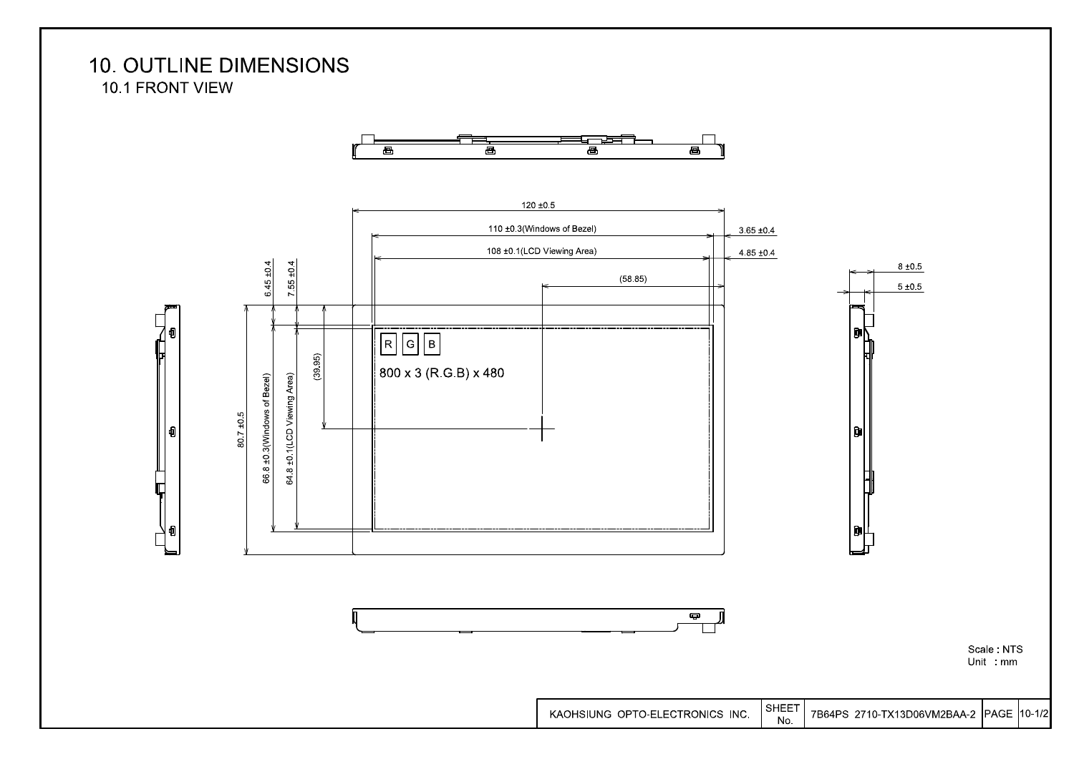**10. OUTLINE DIMENSIONS** 10.1 FRONT VIEW



7B64PS 2710-TX13D06VM2BAA-2 PAGE 10-1/2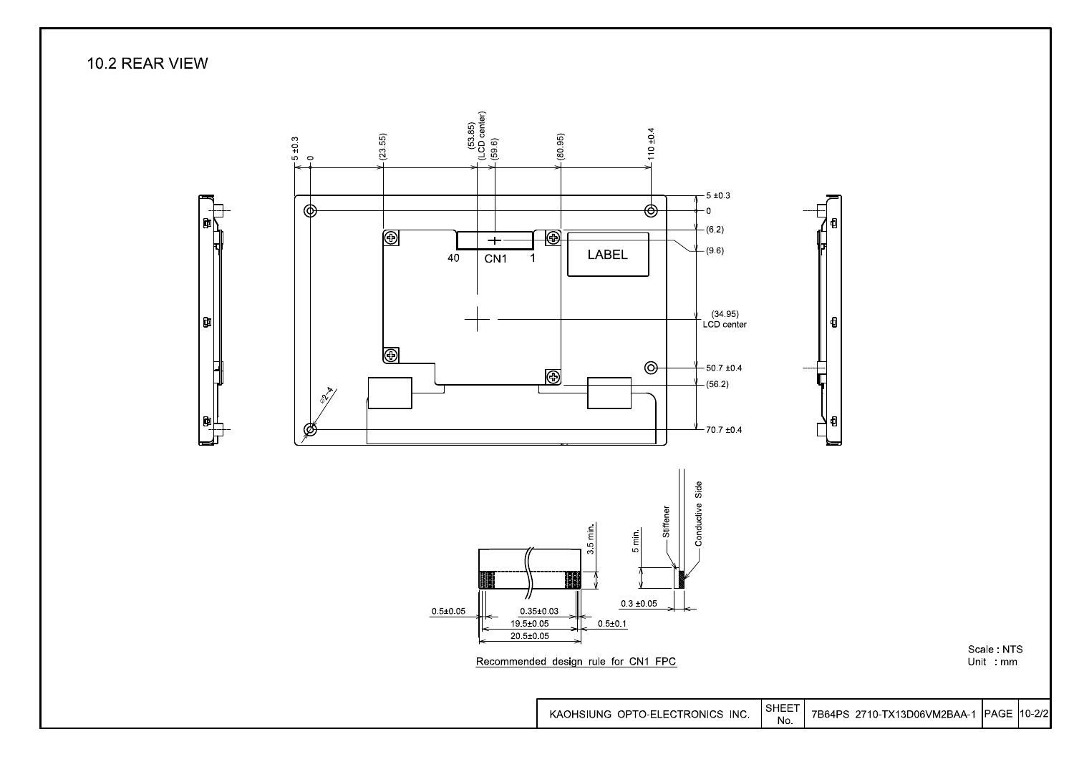10.2 REAR VIEW



PAGE 10-2/2 7B64PS 2710-TX13D06VM2BAA-1

Scale: NTS

Unit : mm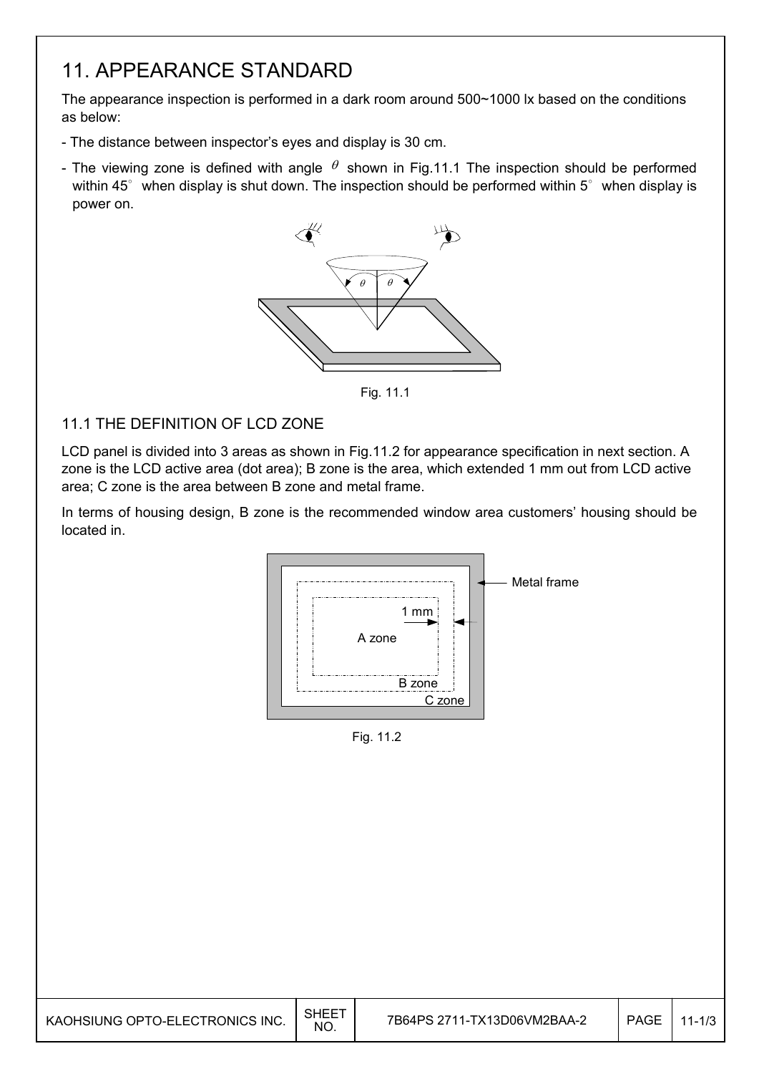### 11. APPEARANCE STANDARD

The appearance inspection is performed in a dark room around 500~1000 lx based on the conditions as below:

- The distance between inspector's eyes and display is 30 cm.
- The viewing zone is defined with angle  $\theta$  shown in Fig.11.1 The inspection should be performed within 45 $^{\circ}$  when display is shut down. The inspection should be performed within 5 $^{\circ}$  when display is power on.



Fig. 11.1

#### 11.1 THE DEFINITION OF LCD ZONE

I

LCD panel is divided into 3 areas as shown in Fig.11.2 for appearance specification in next section. A zone is the LCD active area (dot area); B zone is the area, which extended 1 mm out from LCD active area; C zone is the area between B zone and metal frame.

In terms of housing design, B zone is the recommended window area customers' housing should be located in.



Fig. 11.2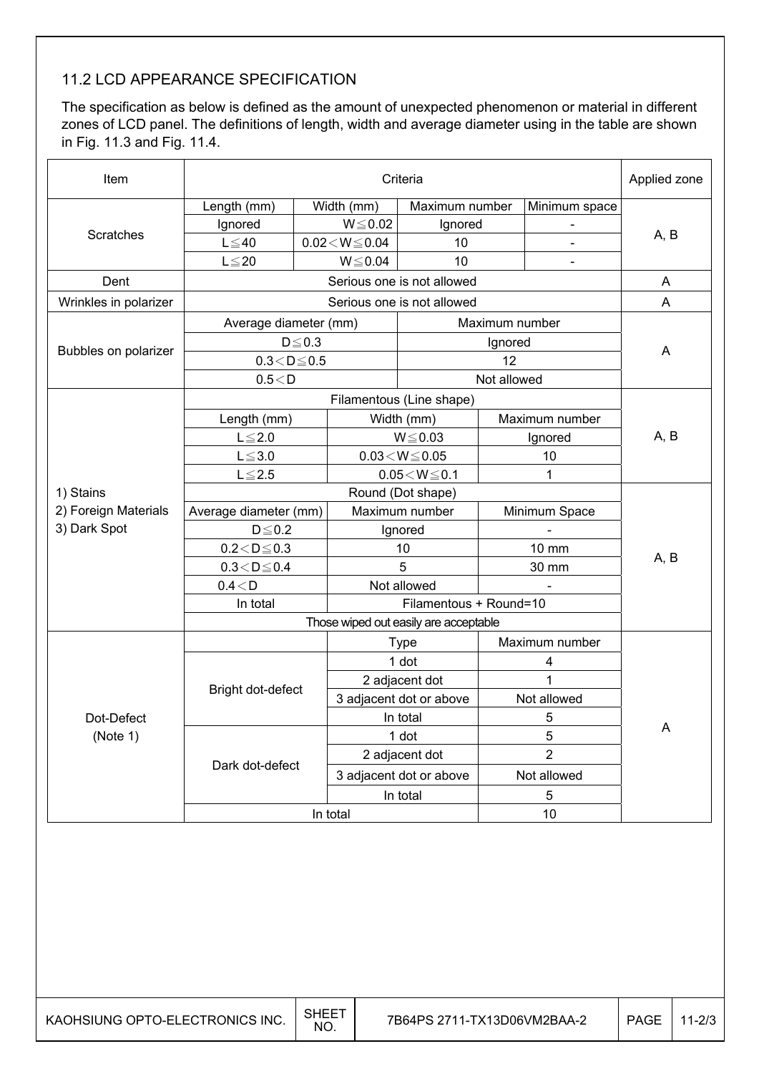#### 11.2 LCD APPEARANCE SPECIFICATION

The specification as below is defined as the amount of unexpected phenomenon or material in different zones of LCD panel. The definitions of length, width and average diameter using in the table are shown in Fig. 11.3 and Fig. 11.4.

| Item                  | Criteria<br>Applied zone |             |                            |                          |                |                |      |  |  |
|-----------------------|--------------------------|-------------|----------------------------|--------------------------|----------------|----------------|------|--|--|
|                       | Length (mm)              |             | Width (mm)                 | Maximum number           |                | Minimum space  |      |  |  |
|                       | Ignored                  |             | $W \le 0.02$               | Ignored                  |                |                |      |  |  |
| <b>Scratches</b>      | $L \leq 40$              |             | $0.02\!<\!W\!\!\leq\!0.04$ | 10                       |                |                | A, B |  |  |
|                       | $L \leq 20$              |             | $W \le 0.04$               | 10                       |                | -              |      |  |  |
| Dent                  |                          | A           |                            |                          |                |                |      |  |  |
| Wrinkles in polarizer |                          | Α           |                            |                          |                |                |      |  |  |
|                       | Average diameter (mm)    |             |                            |                          | Maximum number |                |      |  |  |
|                       |                          | $D \le 0.3$ |                            |                          | Ignored        |                |      |  |  |
| Bubbles on polarizer  | $0.3 < D \le 0.5$        |             |                            |                          | 12             |                | A    |  |  |
|                       | 0.5 < D                  |             |                            |                          | Not allowed    |                |      |  |  |
|                       |                          |             |                            | Filamentous (Line shape) |                |                |      |  |  |
|                       | Length (mm)              |             |                            | Width (mm)               |                | Maximum number |      |  |  |
|                       | $L \leq 2.0$             |             |                            | $W \le 0.03$             |                | Ignored        | A, B |  |  |
|                       | $L \leq 3.0$             |             |                            | $0.03 \leq W \leq 0.05$  | 10             |                |      |  |  |
|                       | $L \le 2.5$              |             |                            | $0.05\!<\!W\!\leq\!0.1$  | 1              |                |      |  |  |
| 1) Stains             |                          |             |                            |                          |                |                |      |  |  |
| 2) Foreign Materials  | Average diameter (mm)    |             |                            | Maximum number           | Minimum Space  |                |      |  |  |
| 3) Dark Spot          | $D \leq 0.2$             |             |                            | Ignored                  |                |                |      |  |  |
|                       | $0.2 < D \leq 0.3$       |             |                            | 10                       |                | 10 mm          | A, B |  |  |
|                       | $0.3 < D \le 0.4$        |             | 5                          |                          |                | 30 mm          |      |  |  |
|                       | 0.4 < D                  |             |                            | Not allowed              |                |                |      |  |  |
|                       | In total                 |             |                            |                          |                |                |      |  |  |
|                       |                          |             |                            |                          |                |                |      |  |  |
|                       |                          |             | <b>Type</b>                |                          | Maximum number |                |      |  |  |
|                       |                          |             | 1 dot                      |                          | 4              |                |      |  |  |
|                       | Bright dot-defect        |             | 2 adjacent dot             |                          | 1              |                |      |  |  |
|                       |                          |             |                            | 3 adjacent dot or above  | Not allowed    |                |      |  |  |
| Dot-Defect            |                          |             | In total                   |                          | 5              |                | Α    |  |  |
| (Note 1)              |                          |             | 1 dot                      |                          | 5              |                |      |  |  |
|                       | Dark dot-defect          |             | 2 adjacent dot             |                          | $\overline{2}$ |                |      |  |  |
|                       |                          |             | 3 adjacent dot or above    |                          | Not allowed    |                |      |  |  |
|                       |                          |             |                            | In total                 | 5              |                |      |  |  |
|                       | 10<br>In total           |             |                            |                          |                |                |      |  |  |
|                       |                          |             |                            |                          |                |                |      |  |  |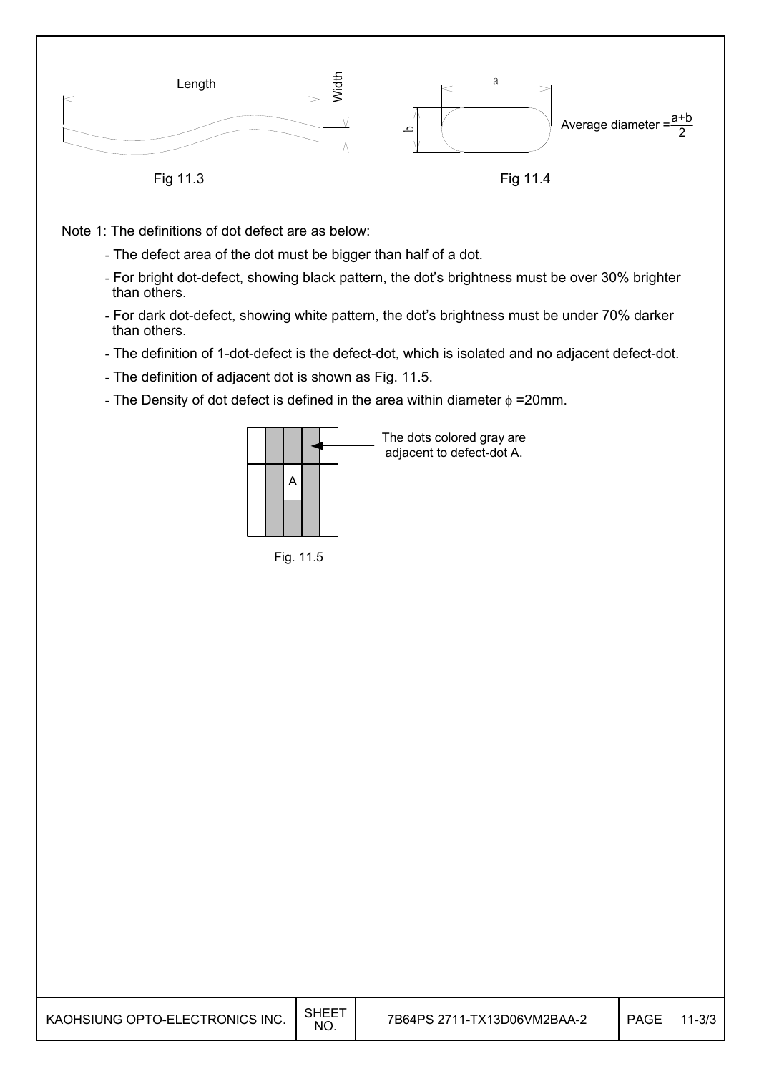

Note 1: The definitions of dot defect are as below:

- The defect area of the dot must be bigger than half of a dot.
- For bright dot-defect, showing black pattern, the dot's brightness must be over 30% brighter than others.
- For dark dot-defect, showing white pattern, the dot's brightness must be under 70% darker than others.
- The definition of 1-dot-defect is the defect-dot, which is isolated and no adjacent defect-dot.
- The definition of adjacent dot is shown as Fig. 11.5.
- The Density of dot defect is defined in the area within diameter  $\phi$  =20mm.

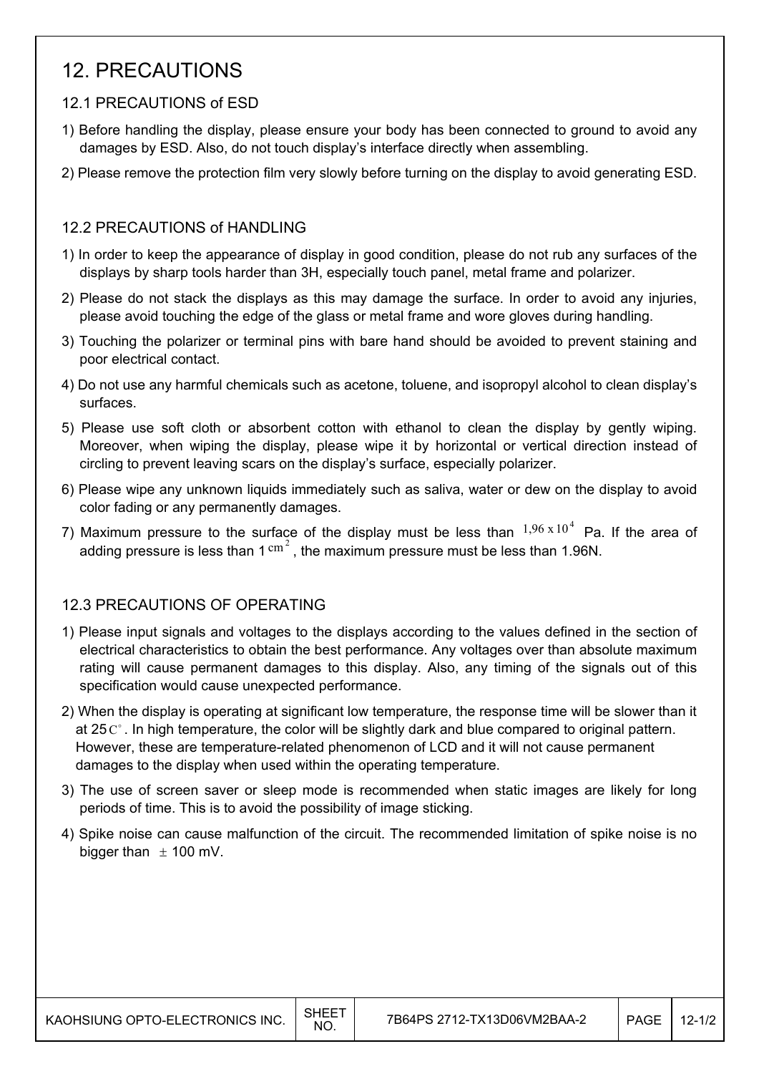### 12. PRECAUTIONS

#### 12.1 PRECAUTIONS of ESD

- 1) Before handling the display, please ensure your body has been connected to ground to avoid any damages by ESD. Also, do not touch display's interface directly when assembling.
- 2) Please remove the protection film very slowly before turning on the display to avoid generating ESD.

#### 12.2 PRECAUTIONS of HANDLING

- 1) In order to keep the appearance of display in good condition, please do not rub any surfaces of the displays by sharp tools harder than 3H, especially touch panel, metal frame and polarizer.
- 2) Please do not stack the displays as this may damage the surface. In order to avoid any injuries, please avoid touching the edge of the glass or metal frame and wore gloves during handling.
- 3) Touching the polarizer or terminal pins with bare hand should be avoided to prevent staining and poor electrical contact.
- 4) Do not use any harmful chemicals such as acetone, toluene, and isopropyl alcohol to clean display's surfaces.
- 5) Please use soft cloth or absorbent cotton with ethanol to clean the display by gently wiping. Moreover, when wiping the display, please wipe it by horizontal or vertical direction instead of circling to prevent leaving scars on the display's surface, especially polarizer.
- 6) Please wipe any unknown liquids immediately such as saliva, water or dew on the display to avoid color fading or any permanently damages.
- 7) Maximum pressure to the surface of the display must be less than  $1,96 \times 10^4$  Pa. If the area of adding pressure is less than  $1 \text{ cm}^2$ , the maximum pressure must be less than 1.96N.

#### 12.3 PRECAUTIONS OF OPERATING

- 1) Please input signals and voltages to the displays according to the values defined in the section of electrical characteristics to obtain the best performance. Any voltages over than absolute maximum rating will cause permanent damages to this display. Also, any timing of the signals out of this specification would cause unexpected performance.
- 2) When the display is operating at significant low temperature, the response time will be slower than it at 25 $\mathbb{C}^{\circ}$ . In high temperature, the color will be slightly dark and blue compared to original pattern. However, these are temperature-related phenomenon of LCD and it will not cause permanent damages to the display when used within the operating temperature.
- 3) The use of screen saver or sleep mode is recommended when static images are likely for long periods of time. This is to avoid the possibility of image sticking.
- 4) Spike noise can cause malfunction of the circuit. The recommended limitation of spike noise is no bigger than  $\pm$  100 mV.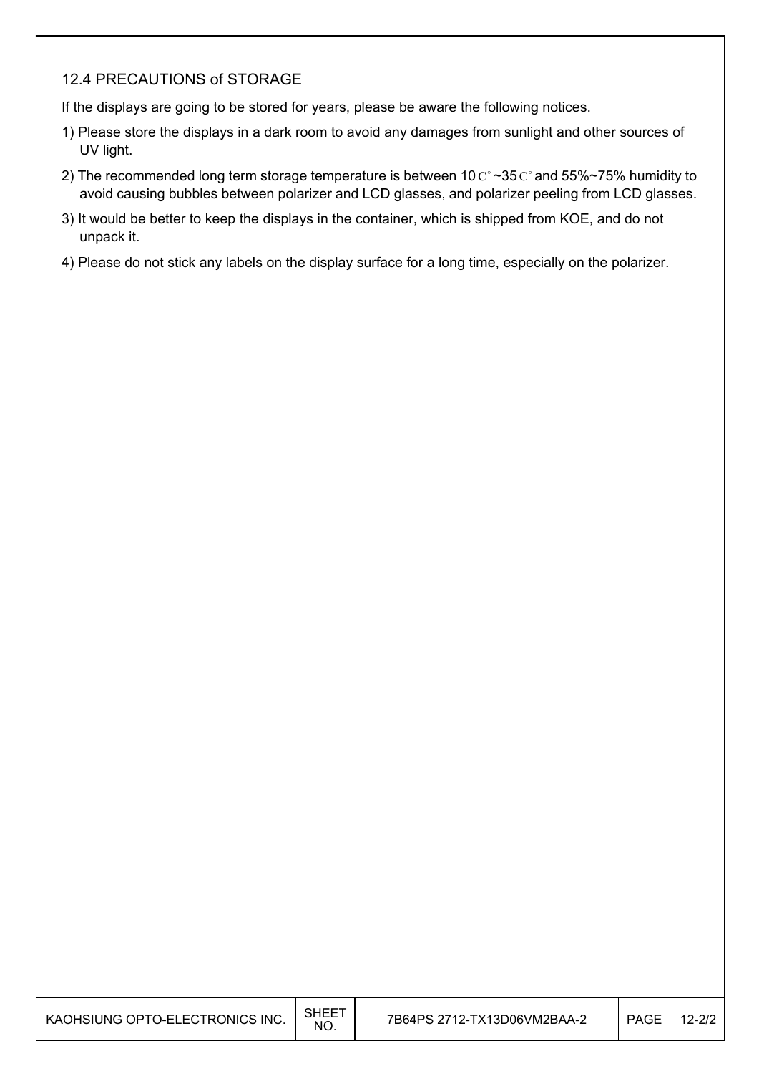#### 12.4 PRECAUTIONS of STORAGE

 $\overline{\phantom{a}}$ 

If the displays are going to be stored for years, please be aware the following notices.

- 1) Please store the displays in a dark room to avoid any damages from sunlight and other sources of UV light.
- 2) The recommended long term storage temperature is between 10  $\mathrm{C}^{\circ}$  ~35  $\mathrm{C}^{\circ}$  and 55%~75% humidity to avoid causing bubbles between polarizer and LCD glasses, and polarizer peeling from LCD glasses.
- 3) It would be better to keep the displays in the container, which is shipped from KOE, and do not unpack it.
- 4) Please do not stick any labels on the display surface for a long time, especially on the polarizer.